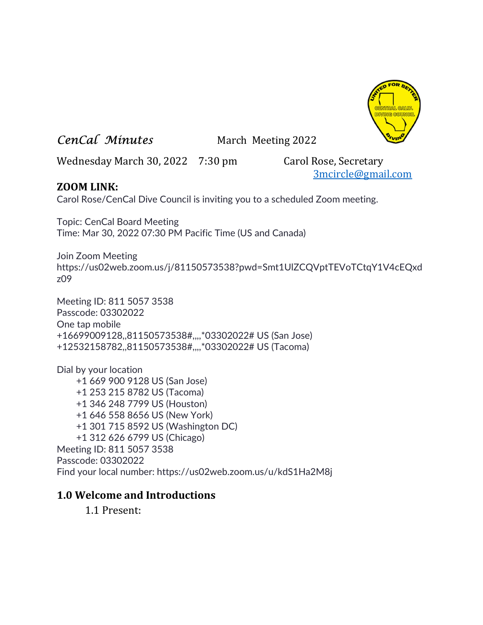

# CenCal Minutes March Meeting 2022

Wednesday March 30, 2022 7:30 pm Carol Rose, Secretary

3mcircle@gmail.com

## ZOOM LINK:

Carol Rose/CenCal Dive Council is inviting you to a scheduled Zoom meeting.

Topic: CenCal Board Meeting Time: Mar 30, 2022 07:30 PM Pacific Time (US and Canada)

Join Zoom Meeting https://us02web.zoom.us/j/81150573538?pwd=Smt1UlZCQVptTEVoTCtqY1V4cEQxd z09

Meeting ID: 811 5057 3538 Passcode: 03302022 One tap mobile +16699009128,,81150573538#,,,,\*03302022# US (San Jose) +12532158782,,81150573538#,,,,\*03302022# US (Tacoma)

Dial by your location +1 669 900 9128 US (San Jose) +1 253 215 8782 US (Tacoma) +1 346 248 7799 US (Houston) +1 646 558 8656 US (New York) +1 301 715 8592 US (Washington DC) +1 312 626 6799 US (Chicago) Meeting ID: 811 5057 3538 Passcode: 03302022 Find your local number: https://us02web.zoom.us/u/kdS1Ha2M8j

## 1.0 Welcome and Introductions

1.1 Present: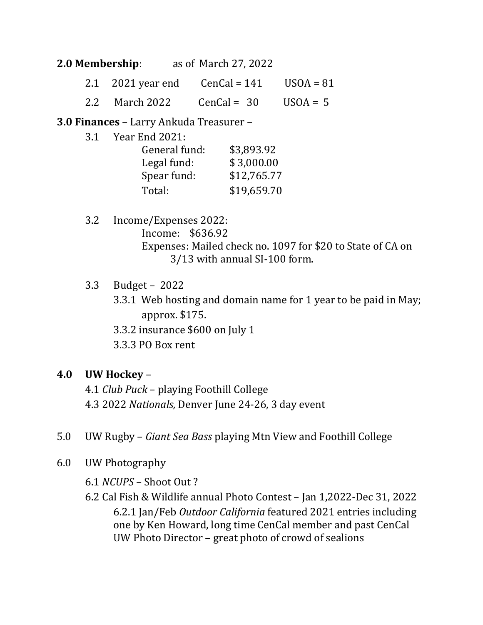#### 2.0 Membership: as of March 27, 2022

- 2.1 2021 year end  $CenCal = 141$  USOA = 81
- 2.2 March 2022  $CenCal = 30$  USOA = 5

3.0 Finances – Larry Ankuda Treasurer –

3.1 Year End 2021:

| General fund: | \$3,893.92  |
|---------------|-------------|
| Legal fund:   | \$3,000.00  |
| Spear fund:   | \$12,765.77 |
| Total:        | \$19,659.70 |

 3.2 Income/Expenses 2022: Income: \$636.92 Expenses: Mailed check no. 1097 for \$20 to State of CA on 3/13 with annual SI-100 form.

3.3 Budget – 2022

3.3.1 Web hosting and domain name for 1 year to be paid in May; approx. \$175.

3.3.2 insurance \$600 on July 1

3.3.3 PO Box rent

## 4.0 UW Hockey –

 4.1 Club Puck – playing Foothill College 4.3 2022 Nationals, Denver June 24-26, 3 day event

- 5.0 UW Rugby Giant Sea Bass playing Mtn View and Foothill College
- 6.0 UW Photography

6.1 NCUPS – Shoot Out ?

 6.2 Cal Fish & Wildlife annual Photo Contest – Jan 1,2022-Dec 31, 2022 6.2.1 Jan/Feb Outdoor California featured 2021 entries including one by Ken Howard, long time CenCal member and past CenCal UW Photo Director – great photo of crowd of sealions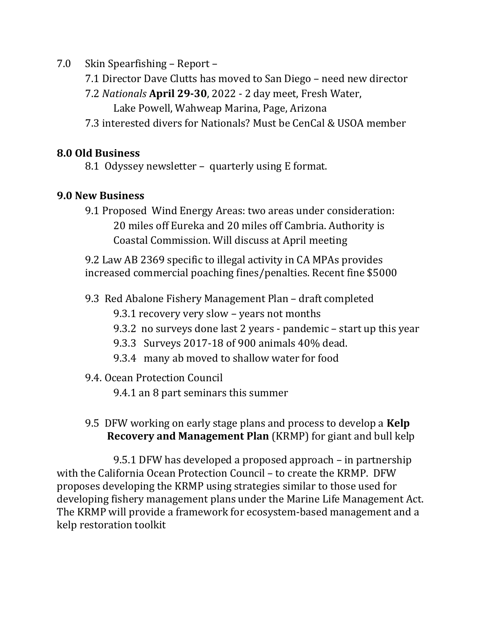7.0 Skin Spearfishing – Report –

- 7.1 Director Dave Clutts has moved to San Diego need new director
- 7.2 Nationals April 29-30, 2022 2 day meet, Fresh Water,
	- Lake Powell, Wahweap Marina, Page, Arizona
- 7.3 interested divers for Nationals? Must be CenCal & USOA member

# 8.0 Old Business

8.1 Odyssey newsletter – quarterly using E format.

# 9.0 New Business

 9.1 Proposed Wind Energy Areas: two areas under consideration: 20 miles off Eureka and 20 miles off Cambria. Authority is Coastal Commission. Will discuss at April meeting

 9.2 Law AB 2369 specific to illegal activity in CA MPAs provides increased commercial poaching fines/penalties. Recent fine \$5000

- 9.3 Red Abalone Fishery Management Plan draft completed
	- 9.3.1 recovery very slow years not months
	- 9.3.2 no surveys done last 2 years pandemic start up this year
	- 9.3.3 Surveys 2017-18 of 900 animals 40% dead.
	- 9.3.4 many ab moved to shallow water for food

## 9.4. Ocean Protection Council

9.4.1 an 8 part seminars this summer

9.5 DFW working on early stage plans and process to develop a Kelp Recovery and Management Plan (KRMP) for giant and bull kelp

 9.5.1 DFW has developed a proposed approach – in partnership with the California Ocean Protection Council – to create the KRMP. DFW proposes developing the KRMP using strategies similar to those used for developing fishery management plans under the Marine Life Management Act. The KRMP will provide a framework for ecosystem-based management and a kelp restoration toolkit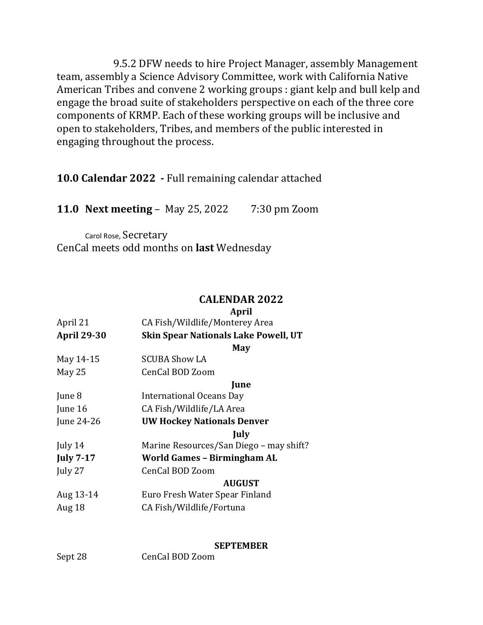9.5.2 DFW needs to hire Project Manager, assembly Management team, assembly a Science Advisory Committee, work with California Native American Tribes and convene 2 working groups : giant kelp and bull kelp and engage the broad suite of stakeholders perspective on each of the three core components of KRMP. Each of these working groups will be inclusive and open to stakeholders, Tribes, and members of the public interested in engaging throughout the process.

10.0 Calendar 2022 - Full remaining calendar attached

11.0 Next meeting – May 25, 2022 7:30 pm Zoom

Carol Rose, Secretary CenCal meets odd months on last Wednesday

### CALENDAR 2022

#### April

| April 21           | CA Fish/Wildlife/Monterey Area              |
|--------------------|---------------------------------------------|
| <b>April 29-30</b> | <b>Skin Spear Nationals Lake Powell, UT</b> |
|                    | May                                         |
| May 14-15          | <b>SCUBA Show LA</b>                        |
| May 25             | CenCal BOD Zoom                             |
|                    | <b>June</b>                                 |
| June 8             | <b>International Oceans Day</b>             |
| June 16            | CA Fish/Wildlife/LA Area                    |
| June 24-26         | <b>UW Hockey Nationals Denver</b>           |
|                    | July                                        |
| July 14            | Marine Resources/San Diego - may shift?     |
| <b>July 7-17</b>   | World Games - Birmingham AL                 |
| July 27            | CenCal BOD Zoom                             |
|                    | <b>AUGUST</b>                               |
| Aug 13-14          | Euro Fresh Water Spear Finland              |
| Aug 18             | CA Fish/Wildlife/Fortuna                    |
|                    |                                             |

#### **SEPTEMBER**

Sept 28 CenCal BOD Zoom